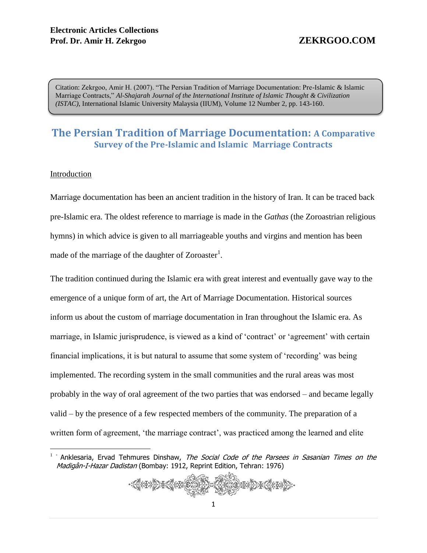Citation: Zekrgoo, Amir H. (2007). "The Persian Tradition of Marriage Documentation: Pre-Islamic & Islamic Marriage Contracts," *Al-Shajarah Journal of the International Institute of Islamic Thought & Civilization (ISTAC)*, International Islamic University Malaysia (IIUM), Volume 12 Number 2, pp. 143-160.

# **The Persian Tradition of Marriage Documentation: A Comparative Survey of the Pre-Islamic and Islamic Marriage Contracts**

#### Introduction

 $\overline{a}$ 

Marriage documentation has been an ancient tradition in the history of Iran. It can be traced back pre-Islamic era. The oldest reference to marriage is made in the *Gathas* (the Zoroastrian religious hymns) in which advice is given to all marriageable youths and virgins and mention has been made of the marriage of the daughter of Zoroaster<sup>1</sup>.

The tradition continued during the Islamic era with great interest and eventually gave way to the emergence of a unique form of art, the Art of Marriage Documentation. Historical sources inform us about the custom of marriage documentation in Iran throughout the Islamic era. As marriage, in Islamic jurisprudence, is viewed as a kind of 'contract' or 'agreement' with certain financial implications, it is but natural to assume that some system of 'recording' was being implemented. The recording system in the small communities and the rural areas was most probably in the way of oral agreement of the two parties that was endorsed – and became legally valid – by the presence of a few respected members of the community. The preparation of a written form of agreement, 'the marriage contract', was practiced among the learned and elite

<sup>&</sup>lt;sup>1</sup> Anklesaria, Ervad Tehmures Dinshaw, The Social Code of the Parsees in Sasanian Times on the Madigân-I-Hazar Dadistan (Bombay: 1912, Reprint Edition, Tehran: 1976)

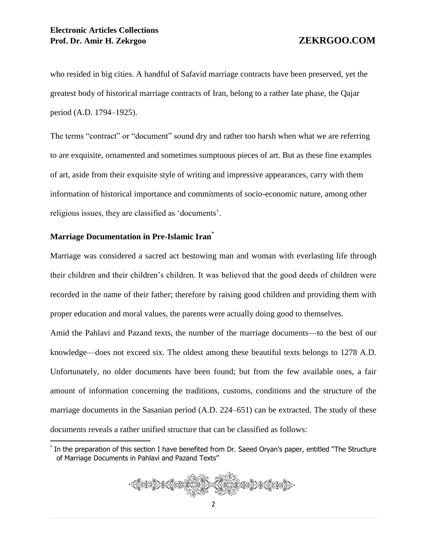who resided in big cities. A handful of Safavid marriage contracts have been preserved, yet the greatest body of historical marriage contracts of Iran, belong to a rather late phase, the Qajar period (A.D. 1794–1925).

The terms "contract" or "document" sound dry and rather too harsh when what we are referring to are exquisite, ornamented and sometimes sumptuous pieces of art. But as these fine examples of art, aside from their exquisite style of writing and impressive appearances, carry with them information of historical importance and commitments of socio-economic nature, among other religious issues, they are classified as 'documents'.

## **Marriage Documentation in Pre-Islamic Iran**\*

 $\overline{a}$ 

Marriage was considered a sacred act bestowing man and woman with everlasting life through their children and their children's children. It was believed that the good deeds of children were recorded in the name of their father; therefore by raising good children and providing them with proper education and moral values, the parents were actually doing good to themselves.

Amid the Pahlavi and Pazand texts, the number of the marriage documents—to the best of our knowledge—does not exceed six. The oldest among these beautiful texts belongs to 1278 A.D. Unfortunately, no older documents have been found; but from the few available ones, a fair amount of information concerning the traditions, customs, conditions and the structure of the marriage documents in the Sasanian period (A.D. 224–651) can be extracted. The study of these documents reveals a rather unified structure that can be classified as follows:

<sup>\*</sup> In the preparation of this section I have benefited from Dr. Saeed Oryan's paper, entitled "The Structure of Marriage Documents in Pahlavi and Pazand Texts"

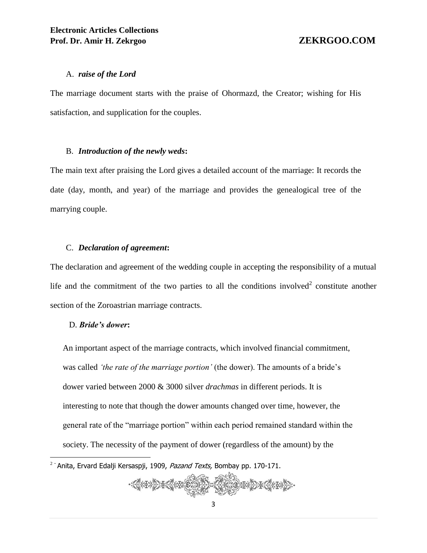#### A. *raise of the Lord*

The marriage document starts with the praise of Ohormazd, the Creator; wishing for His satisfaction, and supplication for the couples.

#### B. *Introduction of the newly weds***:**

The main text after praising the Lord gives a detailed account of the marriage: It records the date (day, month, and year) of the marriage and provides the genealogical tree of the marrying couple.

#### C. *Declaration of agreement***:**

The declaration and agreement of the wedding couple in accepting the responsibility of a mutual life and the commitment of the two parties to all the conditions involved<sup>2</sup> constitute another section of the Zoroastrian marriage contracts.

#### D. *Bride's dower***:**

An important aspect of the marriage contracts, which involved financial commitment, was called *'the rate of the marriage portion'* (the dower). The amounts of a bride's dower varied between 2000 & 3000 silver *drachmas* in different periods. It is interesting to note that though the dower amounts changed over time, however, the general rate of the "marriage portion" within each period remained standard within the society. The necessity of the payment of dower (regardless of the amount) by the

<sup>&</sup>lt;u>.</u><br><sup>2 -</sup> Anita, Ervard Edalji Kersaspji, 1909, *Pazand Texts,* Bombay pp. 170-171.

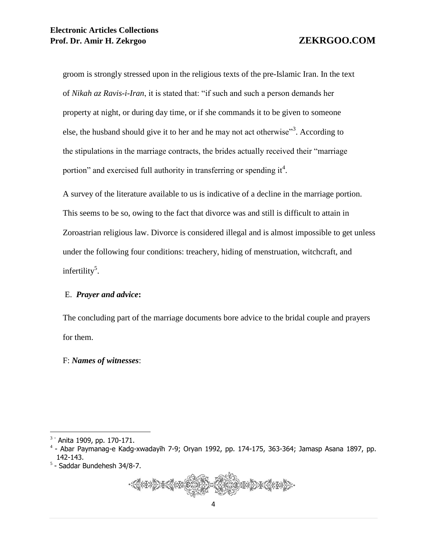groom is strongly stressed upon in the religious texts of the pre-Islamic Iran. In the text of *Nikah az Ravis-i-Iran*, it is stated that: "if such and such a person demands her property at night, or during day time, or if she commands it to be given to someone else, the husband should give it to her and he may not act otherwise"<sup>3</sup>. According to the stipulations in the marriage contracts, the brides actually received their "marriage portion" and exercised full authority in transferring or spending it<sup>4</sup>.

A survey of the literature available to us is indicative of a decline in the marriage portion. This seems to be so, owing to the fact that divorce was and still is difficult to attain in Zoroastrian religious law. Divorce is considered illegal and is almost impossible to get unless under the following four conditions: treachery, hiding of menstruation, witchcraft, and infertility<sup>5</sup>.

# E. *Prayer and advice***:**

The concluding part of the marriage documents bore advice to the bridal couple and prayers for them.

F: *Names of witnesses*:

 $\overline{a}$ 

<sup>5</sup> - Saddar Bundehesh 34/8-7.



<sup>3</sup> - Anita 1909, pp. 170-171.

<sup>4</sup> - Abar Paymanag-e Kadg-xwadayīh 7-9; Oryan 1992, pp. 174-175, 363-364; Jamasp Asana 1897, pp. 142-143.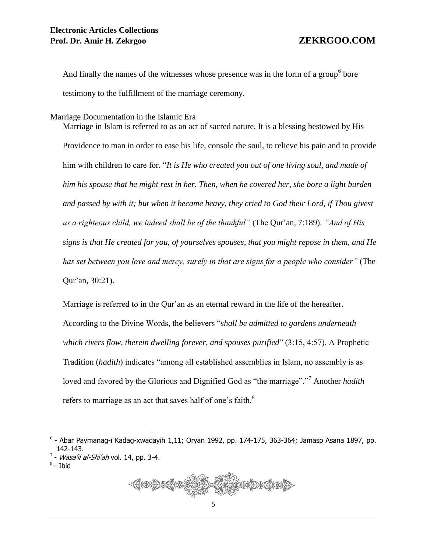And finally the names of the witnesses whose presence was in the form of a group<sup>6</sup> bore testimony to the fulfillment of the marriage ceremony.

Marriage Documentation in the Islamic Era

Marriage in Islam is referred to as an act of sacred nature. It is a blessing bestowed by His Providence to man in order to ease his life, console the soul, to relieve his pain and to provide him with children to care for. "*It is He who created you out of one living soul, and made of him his spouse that he might rest in her. Then, when he covered her, she bore a light burden and passed by with it; but when it became heavy, they cried to God their Lord, if Thou givest us a righteous child, we indeed shall be of the thankful"* (The Qur'an, 7:189). *"And of His signs is that He created for you, of yourselves spouses, that you might repose in them, and He has set between you love and mercy, surely in that are signs for a people who consider"* (The Qur'an, 30:21).

Marriage is referred to in the Qur'an as an eternal reward in the life of the hereafter. According to the Divine Words, the believers "*shall be admitted to gardens underneath which rivers flow, therein dwelling forever, and spouses purified*" (3:15, 4:57). A Prophetic Tradition (*hadith*) indicates "among all established assemblies in Islam, no assembly is as loved and favored by the Glorious and Dignified God as "the marriage"."<sup>7</sup> Another *hadith* refers to marriage as an act that saves half of one's faith.<sup>8</sup>

 $8$  - Ibid

 $\overline{a}$ 



<sup>6</sup> - Abar Paymanag-ī Kadag-xwadayih 1,11; Oryan 1992, pp. 174-175, 363-364; Jamasp Asana 1897, pp. 142-143.

 $7$  - *Wasa'il al-Shī'ah* vol. 14, pp. 3-4.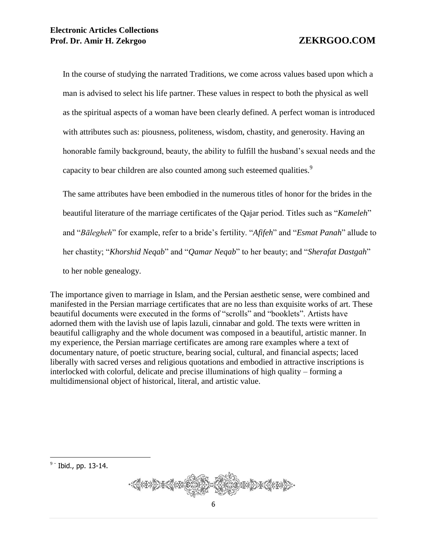In the course of studying the narrated Traditions, we come across values based upon which a man is advised to select his life partner. These values in respect to both the physical as well as the spiritual aspects of a woman have been clearly defined. A perfect woman is introduced with attributes such as: piousness, politeness, wisdom, chastity, and generosity. Having an honorable family background, beauty, the ability to fulfill the husband's sexual needs and the capacity to bear children are also counted among such esteemed qualities.<sup>9</sup>

The same attributes have been embodied in the numerous titles of honor for the brides in the beautiful literature of the marriage certificates of the Qajar period. Titles such as "*Kameleh*" and "*Bālegheh*" for example, refer to a bride's fertility. "*Afifeh*" and "*Esmat Panah*" allude to her chastity; "*Khorshid Neqab*" and "*Qamar Neqab*" to her beauty; and "*Sherafat Dastgah*" to her noble genealogy.

The importance given to marriage in Islam, and the Persian aesthetic sense, were combined and manifested in the Persian marriage certificates that are no less than exquisite works of art. These beautiful documents were executed in the forms of "scrolls" and "booklets". Artists have adorned them with the lavish use of lapis lazuli, cinnabar and gold. The texts were written in beautiful calligraphy and the whole document was composed in a beautiful, artistic manner. In my experience, the Persian marriage certificates are among rare examples where a text of documentary nature, of poetic structure, bearing social, cultural, and financial aspects; laced liberally with sacred verses and religious quotations and embodied in attractive inscriptions is interlocked with colorful, delicate and precise illuminations of high quality – forming a multidimensional object of historical, literal, and artistic value.

 $\overline{a}$  $9 -$  Ibid., pp. 13-14.

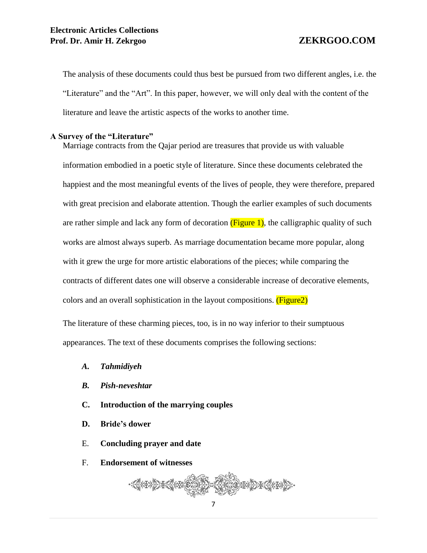The analysis of these documents could thus best be pursued from two different angles, i.e. the "Literature" and the "Art". In this paper, however, we will only deal with the content of the literature and leave the artistic aspects of the works to another time.

### **A Survey of the "Literature"**

Marriage contracts from the Qajar period are treasures that provide us with valuable information embodied in a poetic style of literature. Since these documents celebrated the happiest and the most meaningful events of the lives of people, they were therefore, prepared with great precision and elaborate attention. Though the earlier examples of such documents are rather simple and lack any form of decoration  $(Figure 1)$ , the calligraphic quality of such works are almost always superb. As marriage documentation became more popular, along with it grew the urge for more artistic elaborations of the pieces; while comparing the contracts of different dates one will observe a considerable increase of decorative elements, colors and an overall sophistication in the layout compositions. (Figure2)

The literature of these charming pieces, too, is in no way inferior to their sumptuous appearances. The text of these documents comprises the following sections:

- *A. Tahmidiyeh*
- *B. Pish-neveshtar*
- **C. Introduction of the marrying couples**
- **D. Bride's dower**
- E. **Concluding prayer and date**
- F. **Endorsement of witnesses**

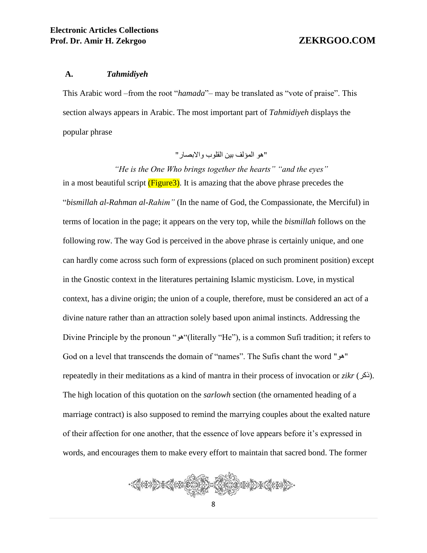#### **A.** *Tahmidiyeh*

This Arabic word –from the root "*hamada*"– may be translated as "vote of praise". This section always appears in Arabic. The most important part of *Tahmidiyeh* displays the popular phrase

"هو المؤلف بين القلوب واالبصار"

*"He is the One Who brings together the hearts" "and the eyes"* in a most beautiful script  $(Figure3)$ . It is amazing that the above phrase precedes the "*bismillah al-Rahman al-Rahim"* (In the name of God, the Compassionate, the Merciful) in terms of location in the page; it appears on the very top, while the *bismillah* follows on the following row. The way God is perceived in the above phrase is certainly unique, and one can hardly come across such form of expressions (placed on such prominent position) except in the Gnostic context in the literatures pertaining Islamic mysticism. Love, in mystical context, has a divine origin; the union of a couple, therefore, must be considered an act of a divine nature rather than an attraction solely based upon animal instincts. Addressing the Divine Principle by the pronoun "هو)"literally "He"), is a common Sufi tradition; it refers to God on a level that transcends the domain of "names". The Sufis chant the word "هو" repeatedly in their meditations as a kind of mantra in their process of invocation or *zikr* (ذكر(. The high location of this quotation on the *sarlowh* section (the ornamented heading of a marriage contract) is also supposed to remind the marrying couples about the exalted nature of their affection for one another, that the essence of love appears before it's expressed in words, and encourages them to make every effort to maintain that sacred bond. The former

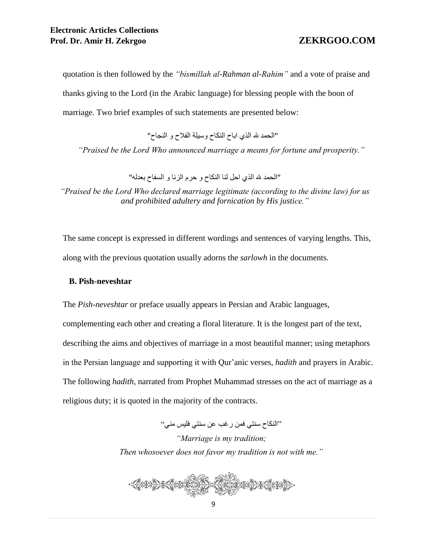quotation is then followed by the *"bismillah al-Rahman al-Rahim"* and a vote of praise and thanks giving to the Lord (in the Arabic language) for blessing people with the boon of marriage. Two brief examples of such statements are presented below:

"الحمد هلل الذي اباح النكاح وسيلة الفالح و النجاح"

*"Praised be the Lord Who announced marriage a means for fortune and prosperity."*

"الحمد هلل الذي احل لنا النكاح و حرم الزنا و السفاح بعدله"

*"Praised be the Lord Who declared marriage legitimate (according to the divine law) for us and prohibited adultery and fornication by His justice."*

The same concept is expressed in different wordings and sentences of varying lengths. This, along with the previous quotation usually adorns the *sarlowh* in the documents.

### **B. Pish-neveshtar**

The *Pish-neveshtar* or preface usually appears in Persian and Arabic languages, complementing each other and creating a floral literature. It is the longest part of the text, describing the aims and objectives of marriage in a most beautiful manner; using metaphors in the Persian language and supporting it with Qur'anic verses, *hadith* and prayers in Arabic. The following *hadith*, narrated from Prophet Muhammad stresses on the act of marriage as a religious duty; it is quoted in the majority of the contracts.

"النكاح سنتي فمن رغب عن سنتي فليس مني"

*"Marriage is my tradition; Then whosoever does not favor my tradition is not with me."*

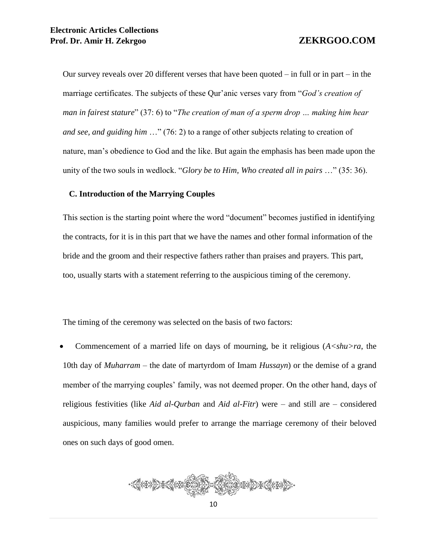Our survey reveals over 20 different verses that have been quoted  $-$  in full or in part  $-$  in the marriage certificates. The subjects of these Qur'anic verses vary from "*God's creation of man in fairest stature*" (37: 6) to "*The creation of man of a sperm drop … making him hear and see, and guiding him* …" (76: 2) to a range of other subjects relating to creation of nature, man's obedience to God and the like. But again the emphasis has been made upon the unity of the two souls in wedlock. "*Glory be to Him, Who created all in pairs* …" (35: 36).

#### **C. Introduction of the Marrying Couples**

This section is the starting point where the word "document" becomes justified in identifying the contracts, for it is in this part that we have the names and other formal information of the bride and the groom and their respective fathers rather than praises and prayers. This part, too, usually starts with a statement referring to the auspicious timing of the ceremony.

The timing of the ceremony was selected on the basis of two factors:

Commencement of a married life on days of mourning, be it religious (*A<shu>ra*, the 10th day of *Muharram* – the date of martyrdom of Imam *Hussayn*) or the demise of a grand member of the marrying couples' family, was not deemed proper. On the other hand, days of religious festivities (like *Aid al-Qurban* and *Aid al-Fitr*) were – and still are – considered auspicious, many families would prefer to arrange the marriage ceremony of their beloved ones on such days of good omen.

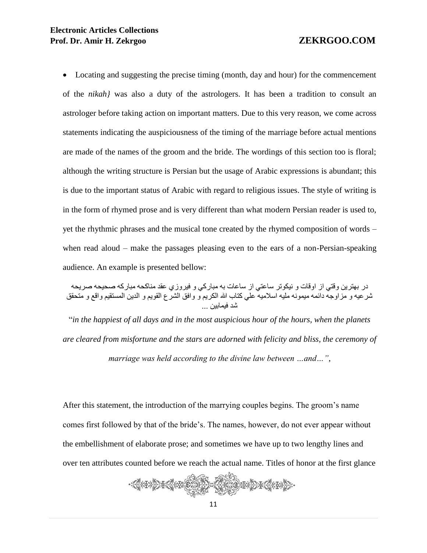Locating and suggesting the precise timing (month, day and hour) for the commencement of the *nikah}* was also a duty of the astrologers. It has been a tradition to consult an astrologer before taking action on important matters. Due to this very reason, we come across statements indicating the auspiciousness of the timing of the marriage before actual mentions are made of the names of the groom and the bride. The wordings of this section too is floral; although the writing structure is Persian but the usage of Arabic expressions is abundant; this is due to the important status of Arabic with regard to religious issues. The style of writing is in the form of rhymed prose and is very different than what modern Persian reader is used to, yet the rhythmic phrases and the musical tone created by the rhymed composition of words – when read aloud – make the passages pleasing even to the ears of a non-Persian-speaking audience. An example is presented bellow:

در بهترين وقتي از اوقات و نيكوتر ساعتي از ساعات به مباركي و فيروزي عقد مناكحه مباركه صحيحه صريحه شرعيه و مزاوجه دائمه ميمونه مليه اسالميه علي كتاب هللا الكريم و وافق الشرع القويم و الدين المستقيم واقع و متحقق شد فيمابين ...

"*in the happiest of all days and in the most auspicious hour of the hours, when the planets are cleared from misfortune and the stars are adorned with felicity and bliss, the ceremony of marriage was held according to the divine law between …and…"*,

After this statement, the introduction of the marrying couples begins. The groom's name comes first followed by that of the bride's. The names, however, do not ever appear without the embellishment of elaborate prose; and sometimes we have up to two lengthy lines and over ten attributes counted before we reach the actual name. Titles of honor at the first glance

$$
\frac{1}{2}
$$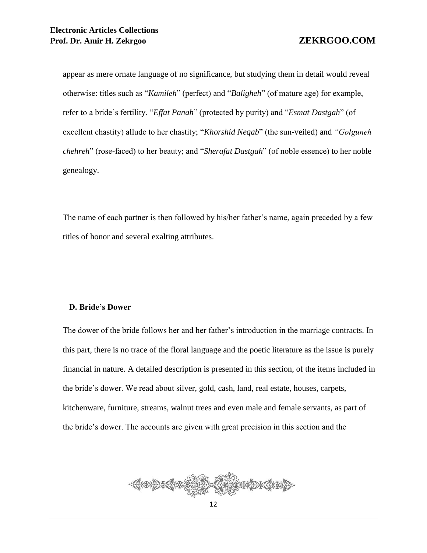appear as mere ornate language of no significance, but studying them in detail would reveal otherwise: titles such as "*Kamileh*" (perfect) and "*Baligheh*" (of mature age) for example, refer to a bride's fertility. "*Effat Panah*" (protected by purity) and "*Esmat Dastgah*" (of excellent chastity) allude to her chastity; "*Khorshid Neqab*" (the sun-veiled) and *"Golguneh chehreh*" (rose-faced) to her beauty; and "*Sherafat Dastgah*" (of noble essence) to her noble genealogy.

The name of each partner is then followed by his/her father's name, again preceded by a few titles of honor and several exalting attributes.

### **D. Bride's Dower**

The dower of the bride follows her and her father's introduction in the marriage contracts. In this part, there is no trace of the floral language and the poetic literature as the issue is purely financial in nature. A detailed description is presented in this section, of the items included in the bride's dower. We read about silver, gold, cash, land, real estate, houses, carpets, kitchenware, furniture, streams, walnut trees and even male and female servants, as part of the bride's dower. The accounts are given with great precision in this section and the

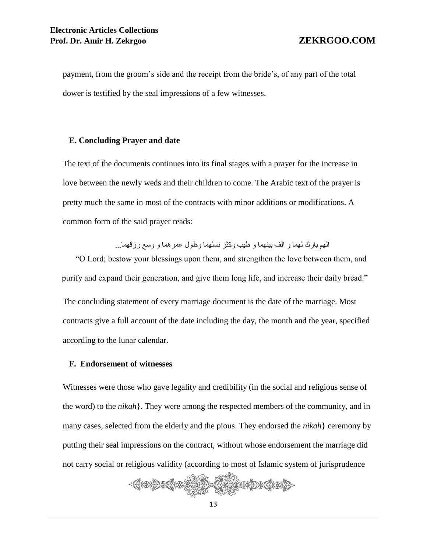payment, from the groom's side and the receipt from the bride's, of any part of the total dower is testified by the seal impressions of a few witnesses.

#### **E. Concluding Prayer and date**

The text of the documents continues into its final stages with a prayer for the increase in love between the newly weds and their children to come. The Arabic text of the prayer is pretty much the same in most of the contracts with minor additions or modifications. A common form of the said prayer reads:

الهم بارك لهما و الف بينهما و طيب وكثر نسلهما وطول عمرهما و وسع رزقهما...

"O Lord; bestow your blessings upon them, and strengthen the love between them, and purify and expand their generation, and give them long life, and increase their daily bread."

The concluding statement of every marriage document is the date of the marriage. Most contracts give a full account of the date including the day, the month and the year, specified according to the lunar calendar.

#### **F. Endorsement of witnesses**

Witnesses were those who gave legality and credibility (in the social and religious sense of the word) to the *nikah*}. They were among the respected members of the community, and in many cases, selected from the elderly and the pious. They endorsed the *nikah*} ceremony by putting their seal impressions on the contract, without whose endorsement the marriage did not carry social or religious validity (according to most of Islamic system of jurisprudence

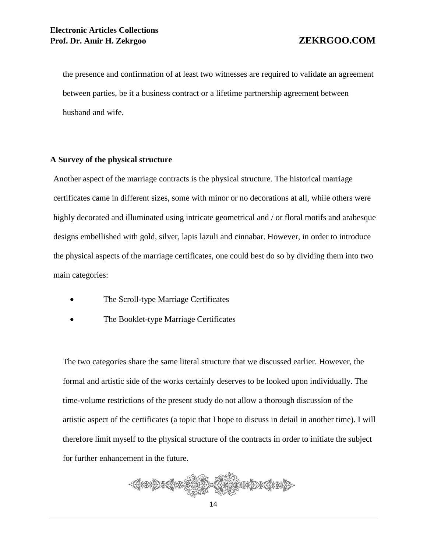the presence and confirmation of at least two witnesses are required to validate an agreement between parties, be it a business contract or a lifetime partnership agreement between husband and wife.

### **A Survey of the physical structure**

Another aspect of the marriage contracts is the physical structure. The historical marriage certificates came in different sizes, some with minor or no decorations at all, while others were highly decorated and illuminated using intricate geometrical and / or floral motifs and arabesque designs embellished with gold, silver, lapis lazuli and cinnabar. However, in order to introduce the physical aspects of the marriage certificates, one could best do so by dividing them into two main categories:

- The Scroll-type Marriage Certificates
- The Booklet-type Marriage Certificates

The two categories share the same literal structure that we discussed earlier. However, the formal and artistic side of the works certainly deserves to be looked upon individually. The time-volume restrictions of the present study do not allow a thorough discussion of the artistic aspect of the certificates (a topic that I hope to discuss in detail in another time). I will therefore limit myself to the physical structure of the contracts in order to initiate the subject for further enhancement in the future.

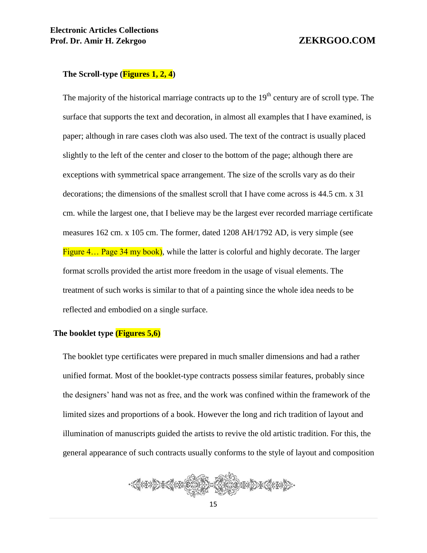#### **The Scroll-type (Figures 1, 2, 4)**

The majority of the historical marriage contracts up to the  $19<sup>th</sup>$  century are of scroll type. The surface that supports the text and decoration, in almost all examples that I have examined, is paper; although in rare cases cloth was also used. The text of the contract is usually placed slightly to the left of the center and closer to the bottom of the page; although there are exceptions with symmetrical space arrangement. The size of the scrolls vary as do their decorations; the dimensions of the smallest scroll that I have come across is 44.5 cm. x 31 cm. while the largest one, that I believe may be the largest ever recorded marriage certificate measures 162 cm. x 105 cm. The former, dated 1208 AH/1792 AD, is very simple (see Figure 4... Page 34 my book), while the latter is colorful and highly decorate. The larger format scrolls provided the artist more freedom in the usage of visual elements. The treatment of such works is similar to that of a painting since the whole idea needs to be reflected and embodied on a single surface.

#### **The booklet type (Figures 5,6)**

The booklet type certificates were prepared in much smaller dimensions and had a rather unified format. Most of the booklet-type contracts possess similar features, probably since the designers' hand was not as free, and the work was confined within the framework of the limited sizes and proportions of a book. However the long and rich tradition of layout and illumination of manuscripts guided the artists to revive the old artistic tradition. For this, the general appearance of such contracts usually conforms to the style of layout and composition

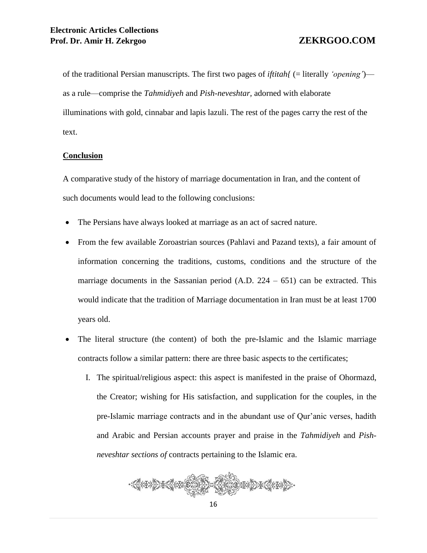of the traditional Persian manuscripts. The first two pages of *iftitah{* (= literally *'opening'*) as a rule—comprise the *Tahmidiyeh* and *Pish-neveshtar,* adorned with elaborate illuminations with gold, cinnabar and lapis lazuli. The rest of the pages carry the rest of the text.

# **Conclusion**

A comparative study of the history of marriage documentation in Iran, and the content of such documents would lead to the following conclusions:

- The Persians have always looked at marriage as an act of sacred nature.
- From the few available Zoroastrian sources (Pahlavi and Pazand texts), a fair amount of information concerning the traditions, customs, conditions and the structure of the marriage documents in the Sassanian period  $(A.D. 224 - 651)$  can be extracted. This would indicate that the tradition of Marriage documentation in Iran must be at least 1700 years old.
- The literal structure (the content) of both the pre-Islamic and the Islamic marriage contracts follow a similar pattern: there are three basic aspects to the certificates;
	- I. The spiritual/religious aspect: this aspect is manifested in the praise of Ohormazd, the Creator; wishing for His satisfaction, and supplication for the couples, in the pre-Islamic marriage contracts and in the abundant use of Qur'anic verses, hadith and Arabic and Persian accounts prayer and praise in the *Tahmidiyeh* and *Pishneveshtar sections of* contracts pertaining to the Islamic era.